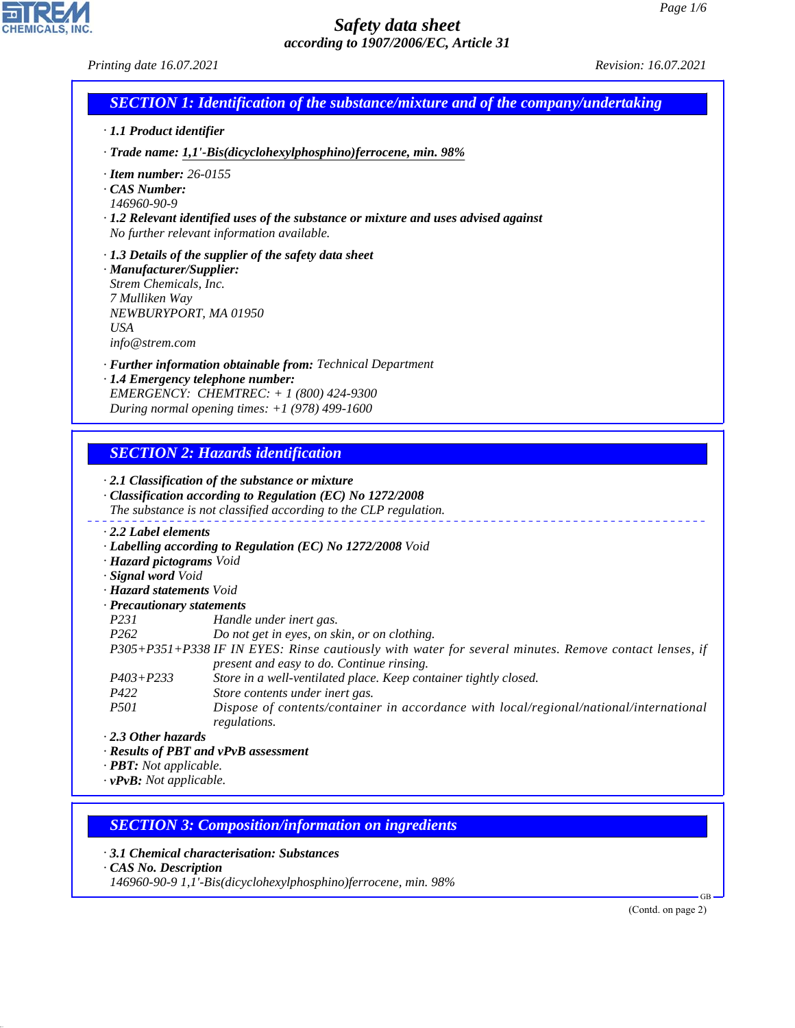| · 1.1 Product identifier                                        | <b>SECTION 1: Identification of the substance/mixture and of the company/undertaking</b>                                                           |  |
|-----------------------------------------------------------------|----------------------------------------------------------------------------------------------------------------------------------------------------|--|
|                                                                 |                                                                                                                                                    |  |
|                                                                 | · Trade name: 1,1'-Bis(dicyclohexylphosphino)ferrocene, min. 98%                                                                                   |  |
| $\cdot$ Item number: 26-0155                                    |                                                                                                                                                    |  |
| CAS Number:                                                     |                                                                                                                                                    |  |
| 146960-90-9                                                     |                                                                                                                                                    |  |
|                                                                 | $\cdot$ 1.2 Relevant identified uses of the substance or mixture and uses advised against<br>No further relevant information available.            |  |
|                                                                 | $\cdot$ 1.3 Details of the supplier of the safety data sheet                                                                                       |  |
| · Manufacturer/Supplier:                                        |                                                                                                                                                    |  |
| Strem Chemicals, Inc.                                           |                                                                                                                                                    |  |
| 7 Mulliken Way                                                  |                                                                                                                                                    |  |
| NEWBURYPORT, MA 01950                                           |                                                                                                                                                    |  |
| <b>USA</b>                                                      |                                                                                                                                                    |  |
| info@strem.com                                                  |                                                                                                                                                    |  |
|                                                                 | · <b>Further information obtainable from:</b> Technical Department                                                                                 |  |
|                                                                 | · 1.4 Emergency telephone number:                                                                                                                  |  |
|                                                                 | EMERGENCY: CHEMTREC: $+ 1 (800) 424 - 9300$                                                                                                        |  |
|                                                                 | During normal opening times: $+1$ (978) 499-1600                                                                                                   |  |
|                                                                 | $\cdot$ 2.1 Classification of the substance or mixture<br>Classification according to Regulation (EC) No 1272/2008                                 |  |
|                                                                 | The substance is not classified according to the CLP regulation.                                                                                   |  |
| $\cdot$ 2.2 Label elements                                      |                                                                                                                                                    |  |
|                                                                 | · Labelling according to Regulation (EC) No 1272/2008 Void                                                                                         |  |
| · Hazard pictograms Void<br>· Signal word Void                  |                                                                                                                                                    |  |
| · Hazard statements Void                                        |                                                                                                                                                    |  |
| · Precautionary statements                                      |                                                                                                                                                    |  |
|                                                                 | Handle under inert gas.                                                                                                                            |  |
|                                                                 | Do not get in eyes, on skin, or on clothing.                                                                                                       |  |
| P231<br>P <sub>262</sub>                                        |                                                                                                                                                    |  |
|                                                                 |                                                                                                                                                    |  |
|                                                                 | P305+P351+P338 IF IN EYES: Rinse cautiously with water for several minutes. Remove contact lenses, if<br>present and easy to do. Continue rinsing. |  |
| $P403 + P233$                                                   | Store in a well-ventilated place. Keep container tightly closed.                                                                                   |  |
| P422                                                            | Store contents under inert gas.                                                                                                                    |  |
| <i>P501</i>                                                     | Dispose of contents/container in accordance with local/regional/national/international                                                             |  |
|                                                                 | regulations.                                                                                                                                       |  |
| $\cdot$ 2.3 Other hazards                                       |                                                                                                                                                    |  |
|                                                                 | · Results of PBT and vPvB assessment                                                                                                               |  |
| · <b>PBT</b> : Not applicable.<br>$\cdot$ vPvB: Not applicable. |                                                                                                                                                    |  |

*· 3.1 Chemical characterisation: Substances*

*· CAS No. Description*

44.1.1

CHEMICALS, INC.

*146960-90-9 1,1'-Bis(dicyclohexylphosphino)ferrocene, min. 98%*

(Contd. on page 2)

GB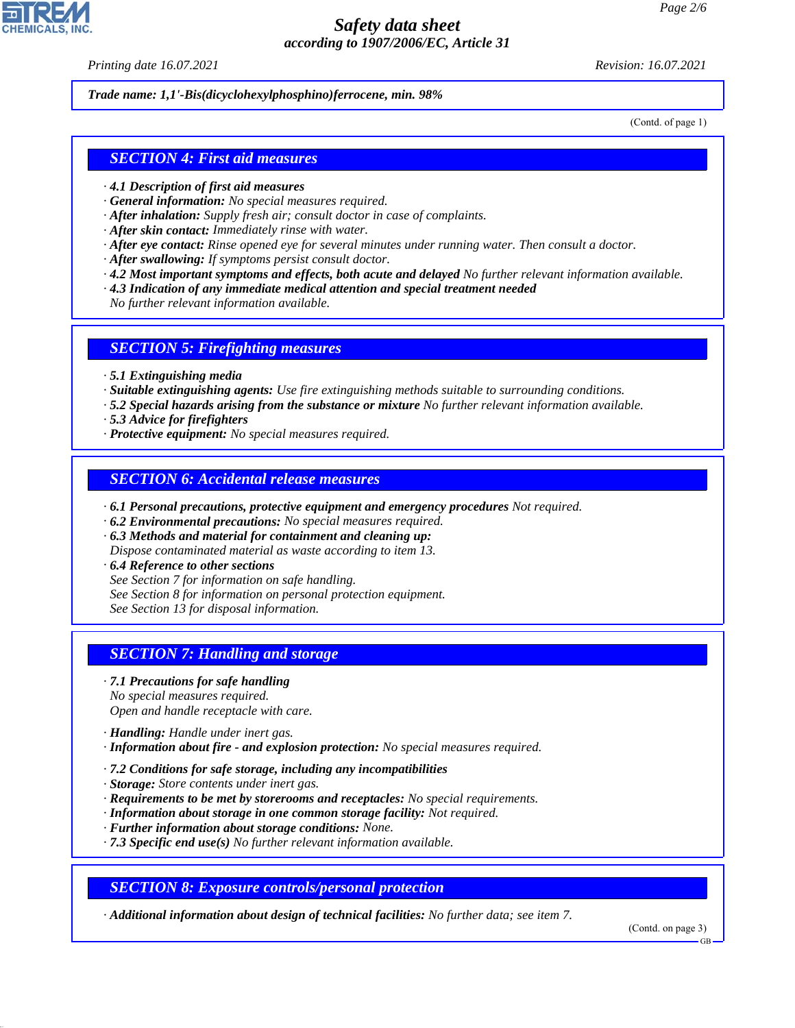*Printing date 16.07.2021 Revision: 16.07.2021*

*Trade name: 1,1'-Bis(dicyclohexylphosphino)ferrocene, min. 98%*

(Contd. of page 1)

### *SECTION 4: First aid measures*

- *· 4.1 Description of first aid measures*
- *· General information: No special measures required.*
- *· After inhalation: Supply fresh air; consult doctor in case of complaints.*
- *· After skin contact: Immediately rinse with water.*
- *· After eye contact: Rinse opened eye for several minutes under running water. Then consult a doctor.*
- *· After swallowing: If symptoms persist consult doctor.*
- *· 4.2 Most important symptoms and effects, both acute and delayed No further relevant information available.*
- *· 4.3 Indication of any immediate medical attention and special treatment needed*
- *No further relevant information available.*

#### *SECTION 5: Firefighting measures*

- *· 5.1 Extinguishing media*
- *· Suitable extinguishing agents: Use fire extinguishing methods suitable to surrounding conditions.*
- *· 5.2 Special hazards arising from the substance or mixture No further relevant information available.*
- *· 5.3 Advice for firefighters*
- *· Protective equipment: No special measures required.*

#### *SECTION 6: Accidental release measures*

- *· 6.1 Personal precautions, protective equipment and emergency procedures Not required.*
- *· 6.2 Environmental precautions: No special measures required.*
- *· 6.3 Methods and material for containment and cleaning up:*
- *Dispose contaminated material as waste according to item 13.*
- *· 6.4 Reference to other sections*
- *See Section 7 for information on safe handling.*
- *See Section 8 for information on personal protection equipment.*
- *See Section 13 for disposal information.*

### *SECTION 7: Handling and storage*

- *· 7.1 Precautions for safe handling No special measures required. Open and handle receptacle with care.*
- *· Handling: Handle under inert gas.*

44.1.1

- *· Information about fire and explosion protection: No special measures required.*
- *· 7.2 Conditions for safe storage, including any incompatibilities*
- *· Storage: Store contents under inert gas.*
- *· Requirements to be met by storerooms and receptacles: No special requirements.*
- *· Information about storage in one common storage facility: Not required.*
- *· Further information about storage conditions: None.*
- *· 7.3 Specific end use(s) No further relevant information available.*

*SECTION 8: Exposure controls/personal protection*

*· Additional information about design of technical facilities: No further data; see item 7.*

(Contd. on page 3)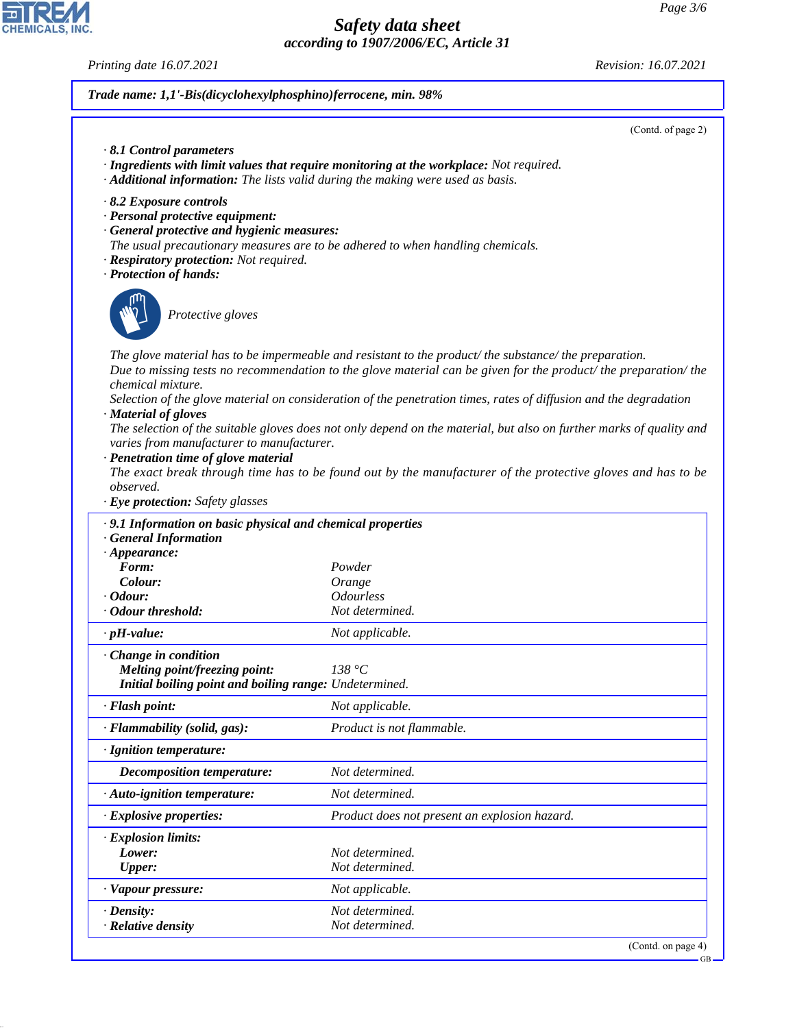*Printing date 16.07.2021 Revision: 16.07.2021*

CHEMICALS, INC.

44.1.1

# *Trade name: 1,1'-Bis(dicyclohexylphosphino)ferrocene, min. 98%*

|                                                                                                                                                                                                                                                                 | (Contd. of page 2)                                                                                                                                                                                                                       |
|-----------------------------------------------------------------------------------------------------------------------------------------------------------------------------------------------------------------------------------------------------------------|------------------------------------------------------------------------------------------------------------------------------------------------------------------------------------------------------------------------------------------|
| $\cdot$ 8.1 Control parameters<br>· Additional information: The lists valid during the making were used as basis.                                                                                                                                               | · Ingredients with limit values that require monitoring at the workplace: Not required.                                                                                                                                                  |
| 8.2 Exposure controls<br>· Personal protective equipment:<br>· General protective and hygienic measures:<br>The usual precautionary measures are to be adhered to when handling chemicals.<br>· Respiratory protection: Not required.<br>· Protection of hands: |                                                                                                                                                                                                                                          |
| Protective gloves                                                                                                                                                                                                                                               |                                                                                                                                                                                                                                          |
| chemical mixture.                                                                                                                                                                                                                                               | The glove material has to be impermeable and resistant to the product/ the substance/ the preparation.<br>Due to missing tests no recommendation to the glove material can be given for the product/the preparation/the                  |
| · Material of gloves<br>varies from manufacturer to manufacturer.<br>· Penetration time of glove material                                                                                                                                                       | Selection of the glove material on consideration of the penetration times, rates of diffusion and the degradation<br>The selection of the suitable gloves does not only depend on the material, but also on further marks of quality and |
| observed.<br>· Eye protection: Safety glasses                                                                                                                                                                                                                   | The exact break through time has to be found out by the manufacturer of the protective gloves and has to be                                                                                                                              |
| · 9.1 Information on basic physical and chemical properties                                                                                                                                                                                                     |                                                                                                                                                                                                                                          |
| <b>General Information</b>                                                                                                                                                                                                                                      |                                                                                                                                                                                                                                          |
| $\cdot$ Appearance:<br>Form:                                                                                                                                                                                                                                    | Powder                                                                                                                                                                                                                                   |
| Colour:                                                                                                                                                                                                                                                         | Orange                                                                                                                                                                                                                                   |
| $\cdot$ Odour:                                                                                                                                                                                                                                                  | <b>Odourless</b>                                                                                                                                                                                                                         |
| · Odour threshold:                                                                                                                                                                                                                                              | Not determined.                                                                                                                                                                                                                          |
| $\cdot$ pH-value:                                                                                                                                                                                                                                               | Not applicable.                                                                                                                                                                                                                          |
| Change in condition<br><b>Melting point/freezing point:</b><br><b>Initial boiling point and boiling range:</b> Undetermined.                                                                                                                                    | 138 °C                                                                                                                                                                                                                                   |
| · Flash point:                                                                                                                                                                                                                                                  | Not applicable.                                                                                                                                                                                                                          |
| · Flammability (solid, gas):                                                                                                                                                                                                                                    | Product is not flammable.                                                                                                                                                                                                                |
| · Ignition temperature:                                                                                                                                                                                                                                         |                                                                                                                                                                                                                                          |
| <b>Decomposition temperature:</b>                                                                                                                                                                                                                               | Not determined.                                                                                                                                                                                                                          |
| · Auto-ignition temperature:                                                                                                                                                                                                                                    | Not determined.                                                                                                                                                                                                                          |
| · Explosive properties:                                                                                                                                                                                                                                         | Product does not present an explosion hazard.                                                                                                                                                                                            |
| · Explosion limits:<br>Lower:<br><b>Upper:</b>                                                                                                                                                                                                                  | Not determined.<br>Not determined.                                                                                                                                                                                                       |
| · Vapour pressure:                                                                                                                                                                                                                                              | Not applicable.                                                                                                                                                                                                                          |
| $\cdot$ Density:<br>· Relative density                                                                                                                                                                                                                          | Not determined.<br>Not determined.                                                                                                                                                                                                       |
|                                                                                                                                                                                                                                                                 | (Contd. on page $4$ )                                                                                                                                                                                                                    |

pag GB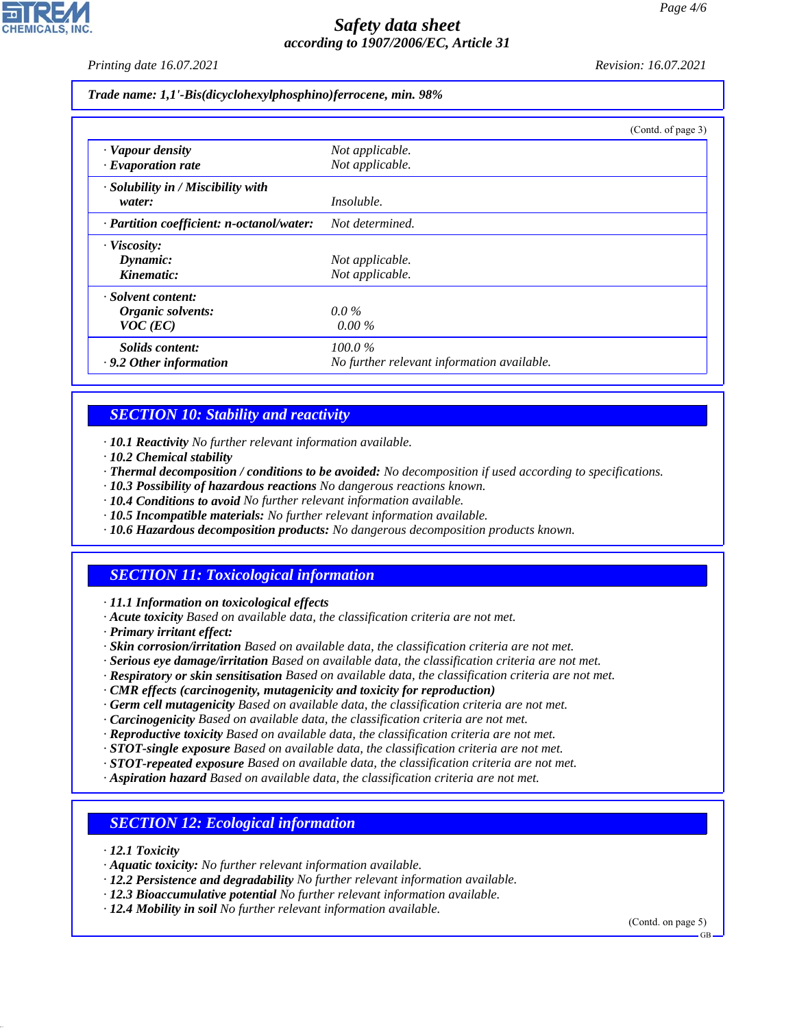*Printing date 16.07.2021 Revision: 16.07.2021*

*Trade name: 1,1'-Bis(dicyclohexylphosphino)ferrocene, min. 98%*

|                                           |                                            | (Contd. of page 3) |
|-------------------------------------------|--------------------------------------------|--------------------|
| · Vapour density                          | Not applicable.                            |                    |
| $\cdot$ Evaporation rate                  | Not applicable.                            |                    |
| · Solubility in / Miscibility with        |                                            |                    |
| water:                                    | <i>Insoluble.</i>                          |                    |
| · Partition coefficient: n-octanol/water: | Not determined.                            |                    |
| · Viscosity:                              |                                            |                    |
| Dynamic:                                  | Not applicable.                            |                    |
| Kinematic:                                | Not applicable.                            |                    |
| · Solvent content:                        |                                            |                    |
| Organic solvents:                         | $0.0\%$                                    |                    |
| $VOC$ (EC)                                | $0.00\%$                                   |                    |
| Solids content:                           | 100.0%                                     |                    |
| $\cdot$ 9.2 Other information             | No further relevant information available. |                    |

### *SECTION 10: Stability and reactivity*

*· 10.1 Reactivity No further relevant information available.*

- *· 10.2 Chemical stability*
- *· Thermal decomposition / conditions to be avoided: No decomposition if used according to specifications.*
- *· 10.3 Possibility of hazardous reactions No dangerous reactions known.*
- *· 10.4 Conditions to avoid No further relevant information available.*
- *· 10.5 Incompatible materials: No further relevant information available.*
- *· 10.6 Hazardous decomposition products: No dangerous decomposition products known.*

# *SECTION 11: Toxicological information*

*· 11.1 Information on toxicological effects*

- *· Acute toxicity Based on available data, the classification criteria are not met.*
- *· Primary irritant effect:*
- *· Skin corrosion/irritation Based on available data, the classification criteria are not met.*
- *· Serious eye damage/irritation Based on available data, the classification criteria are not met.*
- *· Respiratory or skin sensitisation Based on available data, the classification criteria are not met.*
- *· CMR effects (carcinogenity, mutagenicity and toxicity for reproduction)*
- *· Germ cell mutagenicity Based on available data, the classification criteria are not met.*
- *· Carcinogenicity Based on available data, the classification criteria are not met.*
- *· Reproductive toxicity Based on available data, the classification criteria are not met.*
- *· STOT-single exposure Based on available data, the classification criteria are not met.*
- *· STOT-repeated exposure Based on available data, the classification criteria are not met.*
- *· Aspiration hazard Based on available data, the classification criteria are not met.*

### *SECTION 12: Ecological information*

*· 12.1 Toxicity*

44.1.1

- *· Aquatic toxicity: No further relevant information available.*
- *· 12.2 Persistence and degradability No further relevant information available.*
- *· 12.3 Bioaccumulative potential No further relevant information available.*
- *· 12.4 Mobility in soil No further relevant information available.*

(Contd. on page 5)

GB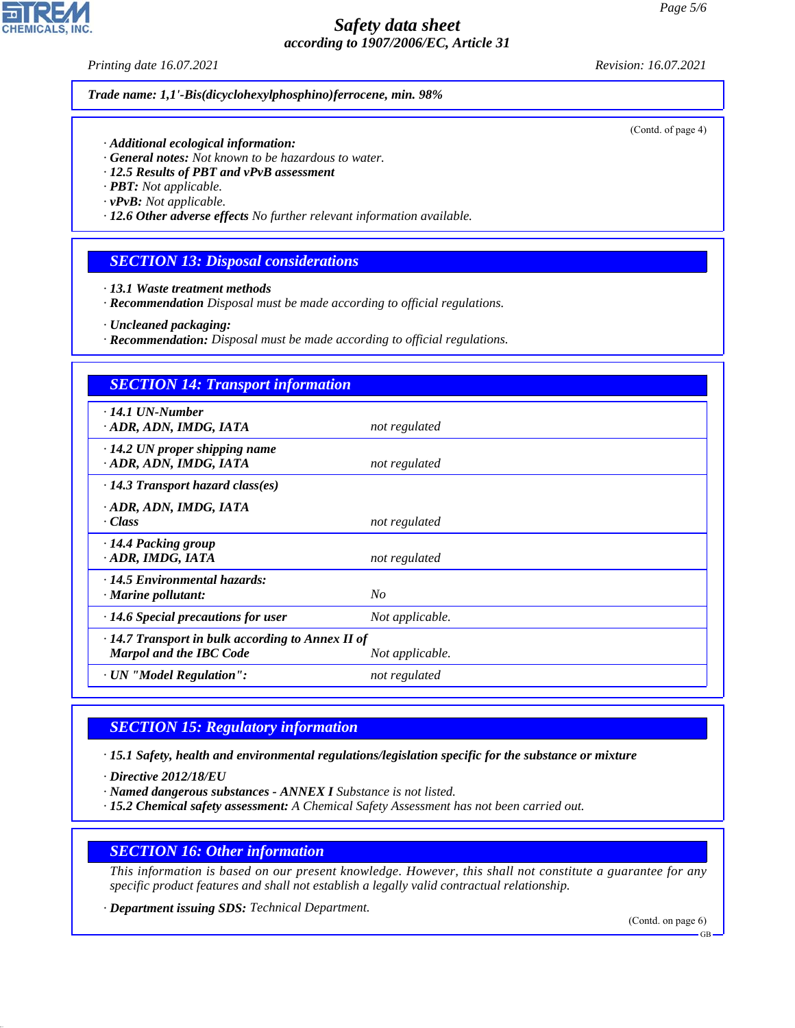*Printing date 16.07.2021 Revision: 16.07.2021*

*Trade name: 1,1'-Bis(dicyclohexylphosphino)ferrocene, min. 98%*

*· Additional ecological information:*

- *· General notes: Not known to be hazardous to water.*
- *· 12.5 Results of PBT and vPvB assessment*
- *· PBT: Not applicable.*
- *· vPvB: Not applicable.*
- *· 12.6 Other adverse effects No further relevant information available.*

### *SECTION 13: Disposal considerations*

- *· 13.1 Waste treatment methods*
- *· Recommendation Disposal must be made according to official regulations.*
- *· Uncleaned packaging:*
- *· Recommendation: Disposal must be made according to official regulations.*

| <b>SECTION 14: Transport information</b>                                                                     |                 |  |
|--------------------------------------------------------------------------------------------------------------|-----------------|--|
| $\cdot$ 14.1 UN-Number<br>· ADR, ADN, IMDG, IATA                                                             | not regulated   |  |
| $\cdot$ 14.2 UN proper shipping name<br>· ADR, ADN, IMDG, IATA                                               | not regulated   |  |
| $\cdot$ 14.3 Transport hazard class(es)                                                                      |                 |  |
| · ADR, ADN, IMDG, IATA<br>$\cdot Class$                                                                      | not regulated   |  |
| · 14.4 Packing group<br>· ADR, IMDG, IATA                                                                    | not regulated   |  |
| · 14.5 Environmental hazards:<br>$\cdot$ Marine pollutant:                                                   | N <sub>O</sub>  |  |
| $\cdot$ 14.6 Special precautions for user                                                                    | Not applicable. |  |
| $\cdot$ 14.7 Transport in bulk according to Annex II of<br><b>Marpol and the IBC Code</b><br>Not applicable. |                 |  |
| · UN "Model Regulation":                                                                                     | not regulated   |  |

### *SECTION 15: Regulatory information*

*· 15.1 Safety, health and environmental regulations/legislation specific for the substance or mixture*

*· Directive 2012/18/EU*

44.1.1

- *· Named dangerous substances ANNEX I Substance is not listed.*
- *· 15.2 Chemical safety assessment: A Chemical Safety Assessment has not been carried out.*

### *SECTION 16: Other information*

*This information is based on our present knowledge. However, this shall not constitute a guarantee for any specific product features and shall not establish a legally valid contractual relationship.*

*· Department issuing SDS: Technical Department.*

(Contd. on page 6)

**CHEMICALS, INC** 

(Contd. of page 4)

GB